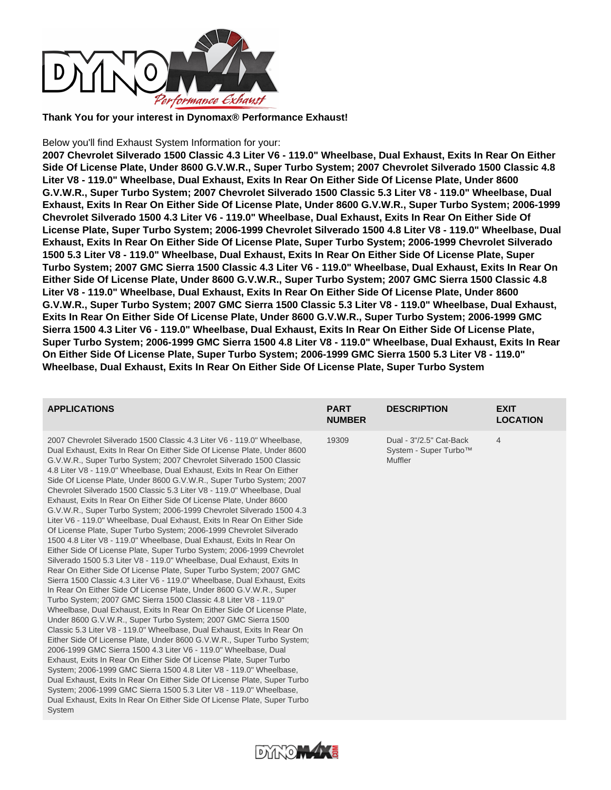

**Thank You for your interest in Dynomax® Performance Exhaust!**

## Below you'll find Exhaust System Information for your:

**2007 Chevrolet Silverado 1500 Classic 4.3 Liter V6 - 119.0" Wheelbase, Dual Exhaust, Exits In Rear On Either Side Of License Plate, Under 8600 G.V.W.R., Super Turbo System; 2007 Chevrolet Silverado 1500 Classic 4.8 Liter V8 - 119.0" Wheelbase, Dual Exhaust, Exits In Rear On Either Side Of License Plate, Under 8600 G.V.W.R., Super Turbo System; 2007 Chevrolet Silverado 1500 Classic 5.3 Liter V8 - 119.0" Wheelbase, Dual Exhaust, Exits In Rear On Either Side Of License Plate, Under 8600 G.V.W.R., Super Turbo System; 2006-1999 Chevrolet Silverado 1500 4.3 Liter V6 - 119.0" Wheelbase, Dual Exhaust, Exits In Rear On Either Side Of License Plate, Super Turbo System; 2006-1999 Chevrolet Silverado 1500 4.8 Liter V8 - 119.0" Wheelbase, Dual Exhaust, Exits In Rear On Either Side Of License Plate, Super Turbo System; 2006-1999 Chevrolet Silverado 1500 5.3 Liter V8 - 119.0" Wheelbase, Dual Exhaust, Exits In Rear On Either Side Of License Plate, Super Turbo System; 2007 GMC Sierra 1500 Classic 4.3 Liter V6 - 119.0" Wheelbase, Dual Exhaust, Exits In Rear On Either Side Of License Plate, Under 8600 G.V.W.R., Super Turbo System; 2007 GMC Sierra 1500 Classic 4.8 Liter V8 - 119.0" Wheelbase, Dual Exhaust, Exits In Rear On Either Side Of License Plate, Under 8600 G.V.W.R., Super Turbo System; 2007 GMC Sierra 1500 Classic 5.3 Liter V8 - 119.0" Wheelbase, Dual Exhaust, Exits In Rear On Either Side Of License Plate, Under 8600 G.V.W.R., Super Turbo System; 2006-1999 GMC Sierra 1500 4.3 Liter V6 - 119.0" Wheelbase, Dual Exhaust, Exits In Rear On Either Side Of License Plate, Super Turbo System; 2006-1999 GMC Sierra 1500 4.8 Liter V8 - 119.0" Wheelbase, Dual Exhaust, Exits In Rear On Either Side Of License Plate, Super Turbo System; 2006-1999 GMC Sierra 1500 5.3 Liter V8 - 119.0" Wheelbase, Dual Exhaust, Exits In Rear On Either Side Of License Plate, Super Turbo System**

| <b>APPLICATIONS</b>                                                                                                                                                                                                                                                                                                                                                                                                                                                                                                                                                                                                                                                                                                                                                                                                                                                                                                                                                                                                                                                                                                                                                                                                                                                                                                                                                                                                                                                                                                                                                                                                                                                                                                                                                                                                                                                                                                                                                                                                                   | <b>PART</b><br><b>NUMBER</b> | <b>DESCRIPTION</b>                                                 | <b>EXIT</b><br><b>LOCATION</b> |
|---------------------------------------------------------------------------------------------------------------------------------------------------------------------------------------------------------------------------------------------------------------------------------------------------------------------------------------------------------------------------------------------------------------------------------------------------------------------------------------------------------------------------------------------------------------------------------------------------------------------------------------------------------------------------------------------------------------------------------------------------------------------------------------------------------------------------------------------------------------------------------------------------------------------------------------------------------------------------------------------------------------------------------------------------------------------------------------------------------------------------------------------------------------------------------------------------------------------------------------------------------------------------------------------------------------------------------------------------------------------------------------------------------------------------------------------------------------------------------------------------------------------------------------------------------------------------------------------------------------------------------------------------------------------------------------------------------------------------------------------------------------------------------------------------------------------------------------------------------------------------------------------------------------------------------------------------------------------------------------------------------------------------------------|------------------------------|--------------------------------------------------------------------|--------------------------------|
| 2007 Chevrolet Silverado 1500 Classic 4.3 Liter V6 - 119.0" Wheelbase.<br>Dual Exhaust, Exits In Rear On Either Side Of License Plate, Under 8600<br>G.V.W.R., Super Turbo System; 2007 Chevrolet Silverado 1500 Classic<br>4.8 Liter V8 - 119.0" Wheelbase, Dual Exhaust, Exits In Rear On Either<br>Side Of License Plate, Under 8600 G.V.W.R., Super Turbo System; 2007<br>Chevrolet Silverado 1500 Classic 5.3 Liter V8 - 119.0" Wheelbase, Dual<br>Exhaust, Exits In Rear On Either Side Of License Plate, Under 8600<br>G.V.W.R., Super Turbo System; 2006-1999 Chevrolet Silverado 1500 4.3<br>Liter V6 - 119.0" Wheelbase, Dual Exhaust, Exits In Rear On Either Side<br>Of License Plate, Super Turbo System; 2006-1999 Chevrolet Silverado<br>1500 4.8 Liter V8 - 119.0" Wheelbase, Dual Exhaust, Exits In Rear On<br>Either Side Of License Plate, Super Turbo System; 2006-1999 Chevrolet<br>Silverado 1500 5.3 Liter V8 - 119.0" Wheelbase, Dual Exhaust, Exits In<br>Rear On Either Side Of License Plate, Super Turbo System; 2007 GMC<br>Sierra 1500 Classic 4.3 Liter V6 - 119.0" Wheelbase, Dual Exhaust, Exits<br>In Rear On Either Side Of License Plate, Under 8600 G.V.W.R., Super<br>Turbo System; 2007 GMC Sierra 1500 Classic 4.8 Liter V8 - 119.0"<br>Wheelbase, Dual Exhaust, Exits In Rear On Either Side Of License Plate,<br>Under 8600 G.V.W.R., Super Turbo System; 2007 GMC Sierra 1500<br>Classic 5.3 Liter V8 - 119.0" Wheelbase, Dual Exhaust, Exits In Rear On<br>Either Side Of License Plate, Under 8600 G.V.W.R., Super Turbo System;<br>2006-1999 GMC Sierra 1500 4.3 Liter V6 - 119.0" Wheelbase, Dual<br>Exhaust, Exits In Rear On Either Side Of License Plate, Super Turbo<br>System; 2006-1999 GMC Sierra 1500 4.8 Liter V8 - 119.0" Wheelbase,<br>Dual Exhaust, Exits In Rear On Either Side Of License Plate, Super Turbo<br>System; 2006-1999 GMC Sierra 1500 5.3 Liter V8 - 119.0" Wheelbase,<br>Dual Exhaust, Exits In Rear On Either Side Of License Plate, Super Turbo<br>System | 19309                        | Dual - 3"/2.5" Cat-Back<br>System - Super Turbo™<br><b>Muffler</b> | 4                              |